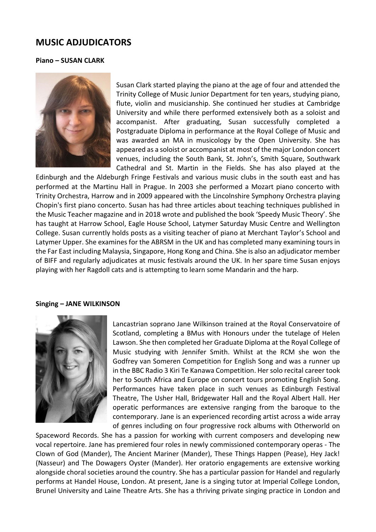# **MUSIC ADJUDICATORS**

## **Piano – SUSAN CLARK**



Susan Clark started playing the piano at the age of four and attended the Trinity College of Music Junior Department for ten years, studying piano, flute, violin and musicianship. She continued her studies at Cambridge University and while there performed extensively both as a soloist and accompanist. After graduating, Susan successfully completed a Postgraduate Diploma in performance at the Royal College of Music and was awarded an MA in musicology by the Open University. She has appeared as a soloist or accompanist at most of the major London concert venues, including the South Bank, St. John's, Smith Square, Southwark Cathedral and St. Martin in the Fields. She has also played at the

Edinburgh and the Aldeburgh Fringe Festivals and various music clubs in the south east and has performed at the Martinu Hall in Prague. In 2003 she performed a Mozart piano concerto with Trinity Orchestra, Harrow and in 2009 appeared with the Lincolnshire Symphony Orchestra playing Chopin's first piano concerto. Susan has had three articles about teaching techniques published in the Music Teacher magazine and in 2018 wrote and published the book 'Speedy Music Theory'. She has taught at Harrow School, Eagle House School, Latymer Saturday Music Centre and Wellington College. Susan currently holds posts as a visiting teacher of piano at Merchant Taylor's School and Latymer Upper. She examines for the ABRSM in the UK and has completed many examining tours in the Far East including Malaysia, Singapore, Hong Kong and China. She is also an adjudicator member of BIFF and regularly adjudicates at music festivals around the UK. In her spare time Susan enjoys playing with her Ragdoll cats and is attempting to learn some Mandarin and the harp.

#### **Singing – JANE WILKINSON**



Lancastrian soprano Jane Wilkinson trained at the Royal Conservatoire of Scotland, completing a BMus with Honours under the tutelage of Helen Lawson. She then completed her Graduate Diploma at the Royal College of Music studying with Jennifer Smith. Whilst at the RCM she won the Godfrey van Someren Competition for English Song and was a runner up in the BBC Radio 3 Kiri Te Kanawa Competition. Her solo recital career took her to South Africa and Europe on concert tours promoting English Song. Performances have taken place in such venues as Edinburgh Festival Theatre, The Usher Hall, Bridgewater Hall and the Royal Albert Hall. Her operatic performances are extensive ranging from the baroque to the contemporary. Jane is an experienced recording artist across a wide array of genres including on four progressive rock albums with Otherworld on

Spaceword Records. She has a passion for working with current composers and developing new vocal repertoire. Jane has premiered four roles in newly commissioned contemporary operas - The Clown of God (Mander), The Ancient Mariner (Mander), These Things Happen (Pease), Hey Jack! (Nasseur) and The Dowagers Oyster (Mander). Her oratorio engagements are extensive working alongside choral societies around the country. She has a particular passion for Handel and regularly performs at Handel House, London. At present, Jane is a singing tutor at Imperial College London, Brunel University and Laine Theatre Arts. She has a thriving private singing practice in London and